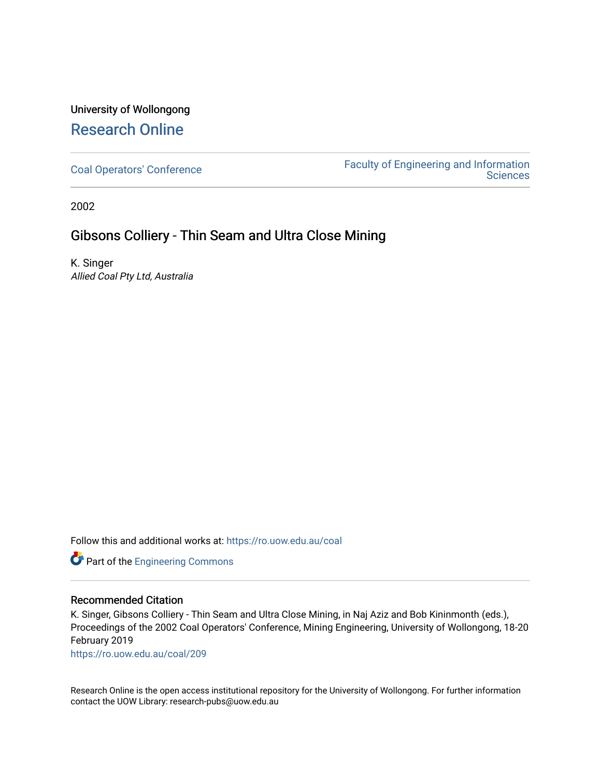# University of Wollongong [Research Online](https://ro.uow.edu.au/)

[Coal Operators' Conference](https://ro.uow.edu.au/coal) [Faculty of Engineering and Information](https://ro.uow.edu.au/eis)  **Sciences** 

2002

## Gibsons Colliery - Thin Seam and Ultra Close Mining

K. Singer Allied Coal Pty Ltd, Australia

Follow this and additional works at: [https://ro.uow.edu.au/coal](https://ro.uow.edu.au/coal?utm_source=ro.uow.edu.au%2Fcoal%2F209&utm_medium=PDF&utm_campaign=PDFCoverPages) 



### Recommended Citation

K. Singer, Gibsons Colliery - Thin Seam and Ultra Close Mining, in Naj Aziz and Bob Kininmonth (eds.), Proceedings of the 2002 Coal Operators' Conference, Mining Engineering, University of Wollongong, 18-20 February 2019

[https://ro.uow.edu.au/coal/209](https://ro.uow.edu.au/coal/209?utm_source=ro.uow.edu.au%2Fcoal%2F209&utm_medium=PDF&utm_campaign=PDFCoverPages) 

Research Online is the open access institutional repository for the University of Wollongong. For further information contact the UOW Library: research-pubs@uow.edu.au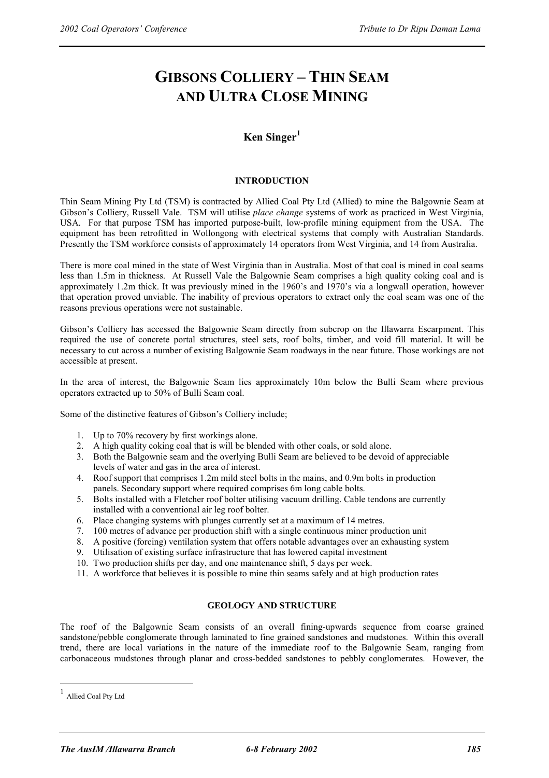# **GIBSONS COLLIERY – THIN SEAM AND ULTRA CLOSE MINING**

## **Ken Singer<sup>1</sup>**

#### **INTRODUCTION**

Thin Seam Mining Pty Ltd (TSM) is contracted by Allied Coal Pty Ltd (Allied) to mine the Balgownie Seam at Gibson's Colliery, Russell Vale. TSM will utilise *place change* systems of work as practiced in West Virginia, USA. For that purpose TSM has imported purpose-built, low-profile mining equipment from the USA. The equipment has been retrofitted in Wollongong with electrical systems that comply with Australian Standards. Presently the TSM workforce consists of approximately 14 operators from West Virginia, and 14 from Australia.

There is more coal mined in the state of West Virginia than in Australia. Most of that coal is mined in coal seams less than 1.5m in thickness. At Russell Vale the Balgownie Seam comprises a high quality coking coal and is approximately 1.2m thick. It was previously mined in the 1960's and 1970's via a longwall operation, however that operation proved unviable. The inability of previous operators to extract only the coal seam was one of the reasons previous operations were not sustainable.

Gibson's Colliery has accessed the Balgownie Seam directly from subcrop on the Illawarra Escarpment. This required the use of concrete portal structures, steel sets, roof bolts, timber, and void fill material. It will be necessary to cut across a number of existing Balgownie Seam roadways in the near future. Those workings are not accessible at present.

In the area of interest, the Balgownie Seam lies approximately 10m below the Bulli Seam where previous operators extracted up to 50% of Bulli Seam coal.

Some of the distinctive features of Gibson's Colliery include;

- 1. Up to 70% recovery by first workings alone.
- 2. A high quality coking coal that is will be blended with other coals, or sold alone.
- 3. Both the Balgownie seam and the overlying Bulli Seam are believed to be devoid of appreciable levels of water and gas in the area of interest.
- 4. Roof support that comprises 1.2m mild steel bolts in the mains, and 0.9m bolts in production panels. Secondary support where required comprises 6m long cable bolts.
- 5. Bolts installed with a Fletcher roof bolter utilising vacuum drilling. Cable tendons are currently installed with a conventional air leg roof bolter.
- 6. Place changing systems with plunges currently set at a maximum of 14 metres.
- 7. 100 metres of advance per production shift with a single continuous miner production unit
- 8. A positive (forcing) ventilation system that offers notable advantages over an exhausting system
- 9. Utilisation of existing surface infrastructure that has lowered capital investment
- 10. Two production shifts per day, and one maintenance shift, 5 days per week.
- 11. A workforce that believes it is possible to mine thin seams safely and at high production rates

#### **GEOLOGY AND STRUCTURE**

The roof of the Balgownie Seam consists of an overall fining-upwards sequence from coarse grained sandstone/pebble conglomerate through laminated to fine grained sandstones and mudstones. Within this overall trend, there are local variations in the nature of the immediate roof to the Balgownie Seam, ranging from carbonaceous mudstones through planar and cross-bedded sandstones to pebbly conglomerates. However, the

 $\overline{a}$ 

Allied Coal Pty Ltd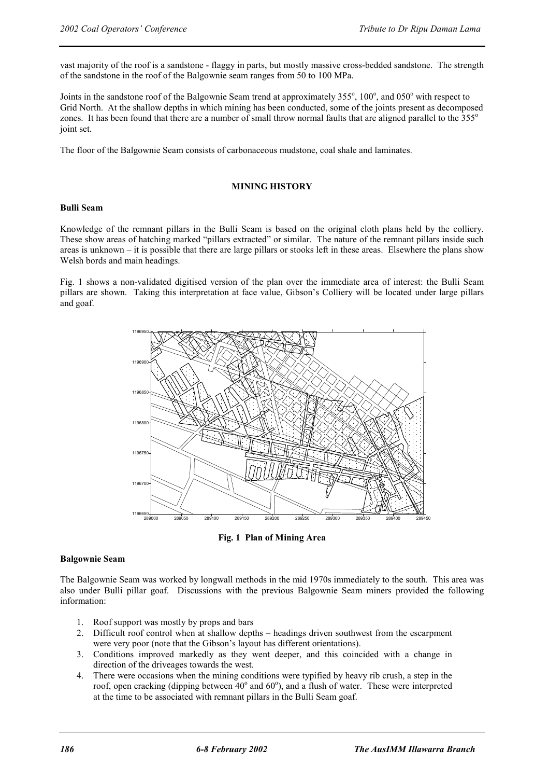vast majority of the roof is a sandstone - flaggy in parts, but mostly massive cross-bedded sandstone. The strength of the sandstone in the roof of the Balgownie seam ranges from 50 to 100 MPa.

Joints in the sandstone roof of the Balgownie Seam trend at approximately 355°, 100°, and 050° with respect to Grid North. At the shallow depths in which mining has been conducted, some of the joints present as decomposed zones. It has been found that there are a number of small throw normal faults that are aligned parallel to the 355<sup>o</sup> joint set.

The floor of the Balgownie Seam consists of carbonaceous mudstone, coal shale and laminates.

#### **MINING HISTORY**

#### **Bulli Seam**

Knowledge of the remnant pillars in the Bulli Seam is based on the original cloth plans held by the colliery. These show areas of hatching marked "pillars extracted" or similar. The nature of the remnant pillars inside such areas is unknown – it is possible that there are large pillars or stooks left in these areas. Elsewhere the plans show Welsh bords and main headings.

Fig. 1 shows a non-validated digitised version of the plan over the immediate area of interest: the Bulli Seam pillars are shown. Taking this interpretation at face value, Gibson's Colliery will be located under large pillars and goaf.



**Fig. 1 Plan of Mining Area** 

#### **Balgownie Seam**

The Balgownie Seam was worked by longwall methods in the mid 1970s immediately to the south. This area was also under Bulli pillar goaf. Discussions with the previous Balgownie Seam miners provided the following information:

- 1. Roof support was mostly by props and bars
- 2. Difficult roof control when at shallow depths headings driven southwest from the escarpment were very poor (note that the Gibson's layout has different orientations).
- 3. Conditions improved markedly as they went deeper, and this coincided with a change in direction of the driveages towards the west.
- 4. There were occasions when the mining conditions were typified by heavy rib crush, a step in the roof, open cracking (dipping between  $40^{\circ}$  and  $60^{\circ}$ ), and a flush of water. These were interpreted at the time to be associated with remnant pillars in the Bulli Seam goaf.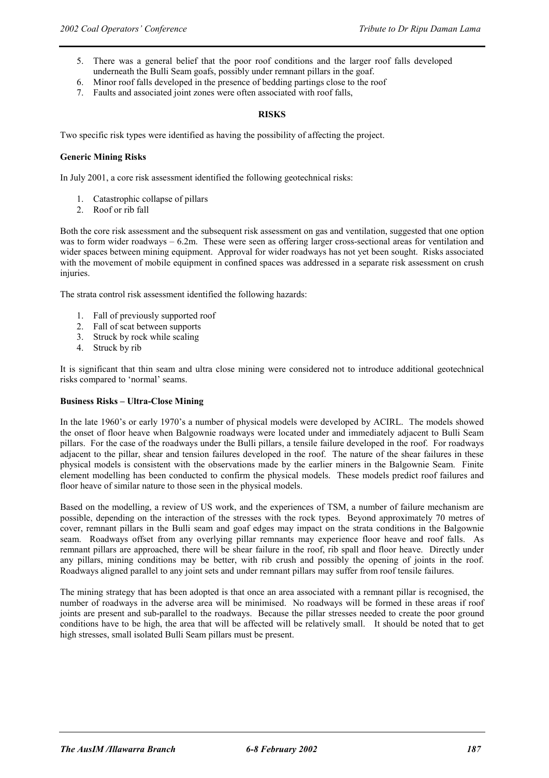- 5. There was a general belief that the poor roof conditions and the larger roof falls developed underneath the Bulli Seam goafs, possibly under remnant pillars in the goaf.
- 6. Minor roof falls developed in the presence of bedding partings close to the roof
- 7. Faults and associated joint zones were often associated with roof falls,

#### **RISKS**

Two specific risk types were identified as having the possibility of affecting the project.

#### **Generic Mining Risks**

In July 2001, a core risk assessment identified the following geotechnical risks:

- 1. Catastrophic collapse of pillars
- 2. Roof or rib fall

Both the core risk assessment and the subsequent risk assessment on gas and ventilation, suggested that one option was to form wider roadways – 6.2m. These were seen as offering larger cross-sectional areas for ventilation and wider spaces between mining equipment. Approval for wider roadways has not yet been sought. Risks associated with the movement of mobile equipment in confined spaces was addressed in a separate risk assessment on crush injuries.

The strata control risk assessment identified the following hazards:

- 1. Fall of previously supported roof
- 2. Fall of scat between supports
- 3. Struck by rock while scaling
- 4. Struck by rib

It is significant that thin seam and ultra close mining were considered not to introduce additional geotechnical risks compared to 'normal' seams.

#### **Business Risks – Ultra-Close Mining**

In the late 1960's or early 1970's a number of physical models were developed by ACIRL. The models showed the onset of floor heave when Balgownie roadways were located under and immediately adjacent to Bulli Seam pillars. For the case of the roadways under the Bulli pillars, a tensile failure developed in the roof. For roadways adjacent to the pillar, shear and tension failures developed in the roof. The nature of the shear failures in these physical models is consistent with the observations made by the earlier miners in the Balgownie Seam. Finite element modelling has been conducted to confirm the physical models. These models predict roof failures and floor heave of similar nature to those seen in the physical models.

Based on the modelling, a review of US work, and the experiences of TSM, a number of failure mechanism are possible, depending on the interaction of the stresses with the rock types. Beyond approximately 70 metres of cover, remnant pillars in the Bulli seam and goaf edges may impact on the strata conditions in the Balgownie seam. Roadways offset from any overlying pillar remnants may experience floor heave and roof falls. As remnant pillars are approached, there will be shear failure in the roof, rib spall and floor heave. Directly under any pillars, mining conditions may be better, with rib crush and possibly the opening of joints in the roof. Roadways aligned parallel to any joint sets and under remnant pillars may suffer from roof tensile failures.

The mining strategy that has been adopted is that once an area associated with a remnant pillar is recognised, the number of roadways in the adverse area will be minimised. No roadways will be formed in these areas if roof joints are present and sub-parallel to the roadways. Because the pillar stresses needed to create the poor ground conditions have to be high, the area that will be affected will be relatively small. It should be noted that to get high stresses, small isolated Bulli Seam pillars must be present.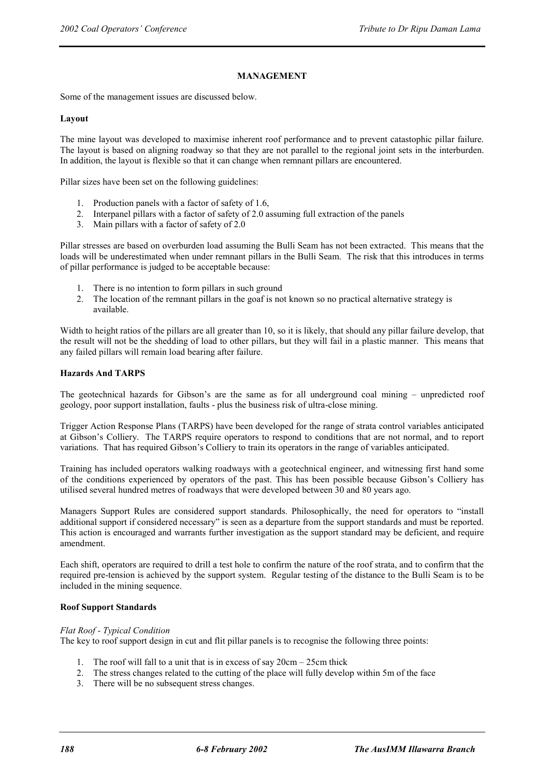#### **MANAGEMENT**

Some of the management issues are discussed below.

#### **Layout**

The mine layout was developed to maximise inherent roof performance and to prevent catastophic pillar failure. The layout is based on aligning roadway so that they are not parallel to the regional joint sets in the interburden. In addition, the layout is flexible so that it can change when remnant pillars are encountered.

Pillar sizes have been set on the following guidelines:

- 1. Production panels with a factor of safety of 1.6,
- 2. Interpanel pillars with a factor of safety of 2.0 assuming full extraction of the panels
- 3. Main pillars with a factor of safety of 2.0

Pillar stresses are based on overburden load assuming the Bulli Seam has not been extracted. This means that the loads will be underestimated when under remnant pillars in the Bulli Seam. The risk that this introduces in terms of pillar performance is judged to be acceptable because:

- 1. There is no intention to form pillars in such ground
- 2. The location of the remnant pillars in the goaf is not known so no practical alternative strategy is available.

Width to height ratios of the pillars are all greater than 10, so it is likely, that should any pillar failure develop, that the result will not be the shedding of load to other pillars, but they will fail in a plastic manner. This means that any failed pillars will remain load bearing after failure.

#### **Hazards And TARPS**

The geotechnical hazards for Gibson's are the same as for all underground coal mining – unpredicted roof geology, poor support installation, faults - plus the business risk of ultra-close mining.

Trigger Action Response Plans (TARPS) have been developed for the range of strata control variables anticipated at Gibson's Colliery. The TARPS require operators to respond to conditions that are not normal, and to report variations. That has required Gibson's Colliery to train its operators in the range of variables anticipated.

Training has included operators walking roadways with a geotechnical engineer, and witnessing first hand some of the conditions experienced by operators of the past. This has been possible because Gibson's Colliery has utilised several hundred metres of roadways that were developed between 30 and 80 years ago.

Managers Support Rules are considered support standards. Philosophically, the need for operators to "install additional support if considered necessary" is seen as a departure from the support standards and must be reported. This action is encouraged and warrants further investigation as the support standard may be deficient, and require amendment.

Each shift, operators are required to drill a test hole to confirm the nature of the roof strata, and to confirm that the required pre-tension is achieved by the support system. Regular testing of the distance to the Bulli Seam is to be included in the mining sequence.

#### **Roof Support Standards**

#### *Flat Roof - Typical Condition*

The key to roof support design in cut and flit pillar panels is to recognise the following three points:

- 1. The roof will fall to a unit that is in excess of say 20cm 25cm thick
- 2. The stress changes related to the cutting of the place will fully develop within 5m of the face
- 3. There will be no subsequent stress changes.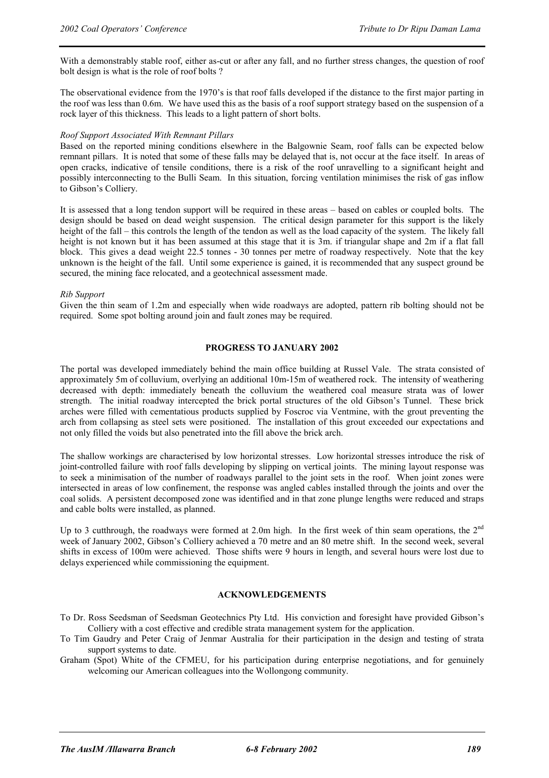With a demonstrably stable roof, either as-cut or after any fall, and no further stress changes, the question of roof bolt design is what is the role of roof bolts ?

The observational evidence from the 1970's is that roof falls developed if the distance to the first major parting in the roof was less than 0.6m. We have used this as the basis of a roof support strategy based on the suspension of a rock layer of this thickness. This leads to a light pattern of short bolts.

#### *Roof Support Associated With Remnant Pillars*

Based on the reported mining conditions elsewhere in the Balgownie Seam, roof falls can be expected below remnant pillars. It is noted that some of these falls may be delayed that is, not occur at the face itself. In areas of open cracks, indicative of tensile conditions, there is a risk of the roof unravelling to a significant height and possibly interconnecting to the Bulli Seam. In this situation, forcing ventilation minimises the risk of gas inflow to Gibson's Colliery.

It is assessed that a long tendon support will be required in these areas – based on cables or coupled bolts. The design should be based on dead weight suspension. The critical design parameter for this support is the likely height of the fall – this controls the length of the tendon as well as the load capacity of the system. The likely fall height is not known but it has been assumed at this stage that it is 3m. if triangular shape and 2m if a flat fall block. This gives a dead weight 22.5 tonnes - 30 tonnes per metre of roadway respectively. Note that the key unknown is the height of the fall. Until some experience is gained, it is recommended that any suspect ground be secured, the mining face relocated, and a geotechnical assessment made.

#### *Rib Support*

Given the thin seam of 1.2m and especially when wide roadways are adopted, pattern rib bolting should not be required. Some spot bolting around join and fault zones may be required.

#### **PROGRESS TO JANUARY 2002**

The portal was developed immediately behind the main office building at Russel Vale. The strata consisted of approximately 5m of colluvium, overlying an additional 10m-15m of weathered rock. The intensity of weathering decreased with depth: immediately beneath the colluvium the weathered coal measure strata was of lower strength. The initial roadway intercepted the brick portal structures of the old Gibson's Tunnel. These brick arches were filled with cementatious products supplied by Foscroc via Ventmine, with the grout preventing the arch from collapsing as steel sets were positioned. The installation of this grout exceeded our expectations and not only filled the voids but also penetrated into the fill above the brick arch.

The shallow workings are characterised by low horizontal stresses. Low horizontal stresses introduce the risk of joint-controlled failure with roof falls developing by slipping on vertical joints. The mining layout response was to seek a minimisation of the number of roadways parallel to the joint sets in the roof. When joint zones were intersected in areas of low confinement, the response was angled cables installed through the joints and over the coal solids. A persistent decomposed zone was identified and in that zone plunge lengths were reduced and straps and cable bolts were installed, as planned.

Up to 3 cutthrough, the roadways were formed at 2.0m high. In the first week of thin seam operations, the 2<sup>nd</sup> week of January 2002, Gibson's Colliery achieved a 70 metre and an 80 metre shift. In the second week, several shifts in excess of 100m were achieved. Those shifts were 9 hours in length, and several hours were lost due to delays experienced while commissioning the equipment.

#### **ACKNOWLEDGEMENTS**

- To Dr. Ross Seedsman of Seedsman Geotechnics Pty Ltd. His conviction and foresight have provided Gibson's Colliery with a cost effective and credible strata management system for the application.
- To Tim Gaudry and Peter Craig of Jenmar Australia for their participation in the design and testing of strata support systems to date.
- Graham (Spot) White of the CFMEU, for his participation during enterprise negotiations, and for genuinely welcoming our American colleagues into the Wollongong community.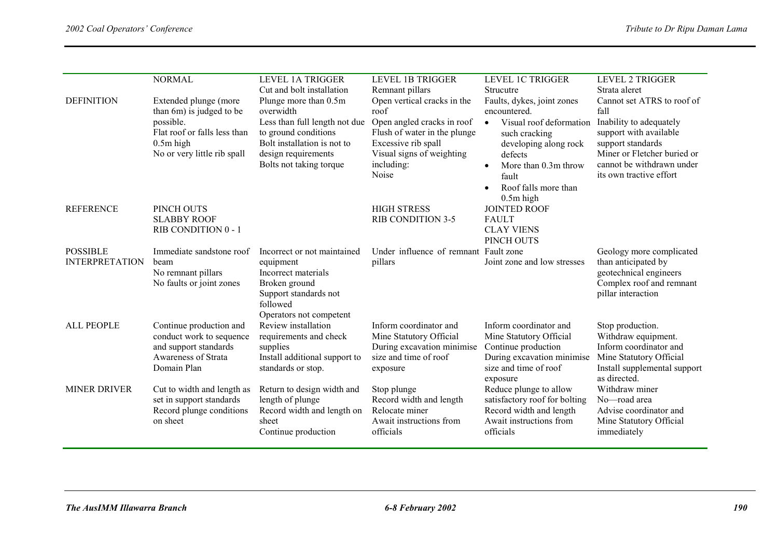|                                          | <b>NORMAL</b>                                                                                                                                | <b>LEVEL 1A TRIGGER</b><br>Cut and bolt installation                                                                                                                         | <b>LEVEL 1B TRIGGER</b><br>Remnant pillars                                                                                                                                   | <b>LEVEL 1C TRIGGER</b><br>Strucutre                                                                                                                                                                            | <b>LEVEL 2 TRIGGER</b><br>Strata aleret                                                                                                                                                             |
|------------------------------------------|----------------------------------------------------------------------------------------------------------------------------------------------|------------------------------------------------------------------------------------------------------------------------------------------------------------------------------|------------------------------------------------------------------------------------------------------------------------------------------------------------------------------|-----------------------------------------------------------------------------------------------------------------------------------------------------------------------------------------------------------------|-----------------------------------------------------------------------------------------------------------------------------------------------------------------------------------------------------|
| <b>DEFINITION</b>                        | Extended plunge (more<br>than 6m) is judged to be<br>possible.<br>Flat roof or falls less than<br>$0.5m$ high<br>No or very little rib spall | Plunge more than 0.5m<br>overwidth<br>Less than full length not due<br>to ground conditions<br>Bolt installation is not to<br>design requirements<br>Bolts not taking torque | Open vertical cracks in the<br>roof<br>Open angled cracks in roof<br>Flush of water in the plunge<br>Excessive rib spall<br>Visual signs of weighting<br>including:<br>Noise | Faults, dykes, joint zones<br>encountered.<br>Visual roof deformation<br>$\bullet$<br>such cracking<br>developing along rock<br>defects<br>More than 0.3m throw<br>fault<br>Roof falls more than<br>$0.5m$ high | Cannot set ATRS to roof of<br>fall<br>Inability to adequately<br>support with available<br>support standards<br>Miner or Fletcher buried or<br>cannot be withdrawn under<br>its own tractive effort |
| <b>REFERENCE</b>                         | PINCH OUTS<br><b>SLABBY ROOF</b><br>RIB CONDITION 0 - 1                                                                                      |                                                                                                                                                                              | <b>HIGH STRESS</b><br><b>RIB CONDITION 3-5</b>                                                                                                                               | <b>JOINTED ROOF</b><br><b>FAULT</b><br><b>CLAY VIENS</b><br>PINCH OUTS                                                                                                                                          |                                                                                                                                                                                                     |
| <b>POSSIBLE</b><br><b>INTERPRETATION</b> | Immediate sandstone roof<br>beam<br>No remnant pillars<br>No faults or joint zones                                                           | Incorrect or not maintained<br>equipment<br>Incorrect materials<br>Broken ground<br>Support standards not<br>followed<br>Operators not competent                             | Under influence of remnant Fault zone<br>pillars                                                                                                                             | Joint zone and low stresses                                                                                                                                                                                     | Geology more complicated<br>than anticipated by<br>geotechnical engineers<br>Complex roof and remnant<br>pillar interaction                                                                         |
| <b>ALL PEOPLE</b>                        | Continue production and<br>conduct work to sequence<br>and support standards<br>Awareness of Strata<br>Domain Plan                           | Review installation<br>requirements and check<br>supplies<br>Install additional support to<br>standards or stop.                                                             | Inform coordinator and<br>Mine Statutory Official<br>During excavation minimise<br>size and time of roof<br>exposure                                                         | Inform coordinator and<br>Mine Statutory Official<br>Continue production<br>During excavation minimise<br>size and time of roof<br>exposure                                                                     | Stop production.<br>Withdraw equipment.<br>Inform coordinator and<br>Mine Statutory Official<br>Install supplemental support<br>as directed.                                                        |
| <b>MINER DRIVER</b>                      | Cut to width and length as<br>set in support standards<br>Record plunge conditions<br>on sheet                                               | Return to design width and<br>length of plunge<br>Record width and length on<br>sheet<br>Continue production                                                                 | Stop plunge<br>Record width and length<br>Relocate miner<br>Await instructions from<br>officials                                                                             | Reduce plunge to allow<br>satisfactory roof for bolting<br>Record width and length<br>Await instructions from<br>officials                                                                                      | Withdraw miner<br>No-road area<br>Advise coordinator and<br>Mine Statutory Official<br>immediately                                                                                                  |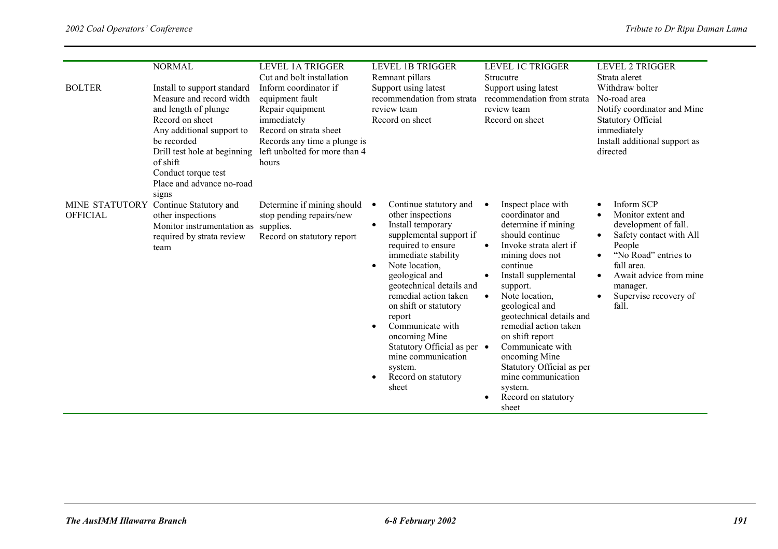| <b>BOLTER</b>   | <b>NORMAL</b><br>Install to support standard<br>Measure and record width<br>and length of plunge<br>Record on sheet<br>Any additional support to<br>be recorded<br>Drill test hole at beginning<br>of shift<br>Conduct torque test<br>Place and advance no-road<br>signs | <b>LEVEL 1A TRIGGER</b><br>Cut and bolt installation<br>Inform coordinator if<br>equipment fault<br>Repair equipment<br>immediately<br>Record on strata sheet<br>Records any time a plunge is<br>left unbolted for more than 4<br>hours | <b>LEVEL 1B TRIGGER</b><br>Remnant pillars<br>Support using latest<br>recommendation from strata<br>review team<br>Record on sheet                                                                                                                                                                                                                                                                                                                    | <b>LEVEL 1C TRIGGER</b><br><b>Strucutre</b><br>Support using latest<br>recommendation from strata<br>review team<br>Record on sheet                                                                                                                                                                                                                                                                                                                                | <b>LEVEL 2 TRIGGER</b><br>Strata aleret<br>Withdraw bolter<br>No-road area<br>Notify coordinator and Mine<br><b>Statutory Official</b><br>immediately<br>Install additional support as<br>directed                                    |
|-----------------|--------------------------------------------------------------------------------------------------------------------------------------------------------------------------------------------------------------------------------------------------------------------------|-----------------------------------------------------------------------------------------------------------------------------------------------------------------------------------------------------------------------------------------|-------------------------------------------------------------------------------------------------------------------------------------------------------------------------------------------------------------------------------------------------------------------------------------------------------------------------------------------------------------------------------------------------------------------------------------------------------|--------------------------------------------------------------------------------------------------------------------------------------------------------------------------------------------------------------------------------------------------------------------------------------------------------------------------------------------------------------------------------------------------------------------------------------------------------------------|---------------------------------------------------------------------------------------------------------------------------------------------------------------------------------------------------------------------------------------|
| <b>OFFICIAL</b> | MINE STATUTORY Continue Statutory and<br>other inspections<br>Monitor instrumentation as supplies.<br>required by strata review<br>team                                                                                                                                  | Determine if mining should<br>stop pending repairs/new<br>Record on statutory report                                                                                                                                                    | Continue statutory and<br>$\bullet$<br>other inspections<br>Install temporary<br>$\bullet$<br>supplemental support if<br>required to ensure<br>immediate stability<br>Note location,<br>٠<br>geological and<br>geotechnical details and<br>remedial action taken<br>on shift or statutory<br>report<br>Communicate with<br>oncoming Mine<br>Statutory Official as per •<br>mine communication<br>system.<br>Record on statutory<br>$\bullet$<br>sheet | Inspect place with<br>$\bullet$<br>coordinator and<br>determine if mining<br>should continue<br>Invoke strata alert if<br>$\bullet$<br>mining does not<br>continue<br>Install supplemental<br>support.<br>Note location,<br>$\bullet$<br>geological and<br>geotechnical details and<br>remedial action taken<br>on shift report<br>Communicate with<br>oncoming Mine<br>Statutory Official as per<br>mine communication<br>system.<br>Record on statutory<br>sheet | Inform SCP<br>Monitor extent and<br>development of fall.<br>Safety contact with All<br>$\bullet$<br>People<br>"No Road" entries to<br>fall area.<br>Await advice from mine<br>$\bullet$<br>manager.<br>Supervise recovery of<br>fall. |